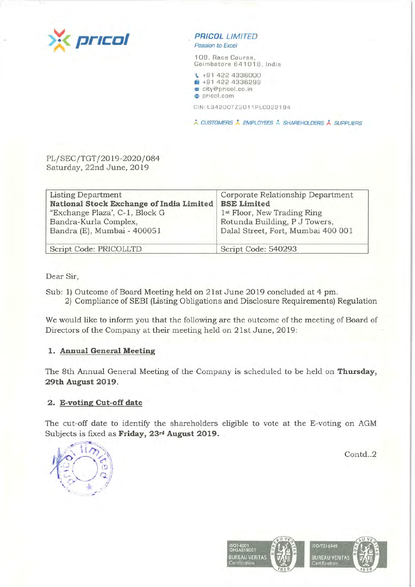

**PRICOL LIMITED** Passion to Excel

109, Race Course, Coimbatore 641018, India

**t,.** +91 422 4336000 **1m1** +91 422 4336299 ~ city@pricol .co . in **e** pricol. com

CIN : L3 4 200TZ 2011 PLC02219 4

\* CUSTOMERS \* EMPLOYEES \* SHAREHOLDERS \* SUPPLIERS

PL/SEC/TGT/2019-2020/084 Saturday, 22nd June, 2019

| Listing Department                       | Corporate Relationship Department       |
|------------------------------------------|-----------------------------------------|
| National Stock Exchange of India Limited | <b>BSE Limited</b>                      |
| "Exchange Plaza', C-1, Block G           | 1 <sup>st</sup> Floor, New Trading Ring |
| Bandra-Kurla Complex,                    | Rotunda Building, P J Towers,           |
| Bandra (E), Mumbai - 400051              | Dalal Street, Fort, Mumbai 400 001      |
| Script Code: PRICOLLTD                   | Script Code: 540293                     |

Dear Sir,

- Sub: 1) Outcome of Board Meeting held on 21st June 2019 concluded at 4 pm.
	- 2) Compliance of SEBI (Listing Obligations and Disclosure Requirements) Regulation

We would like to inform you that the following are the outcome of the meeting of Board of Directors of the Company at their meeting held on 21st June, 2019 :

# **1. Annual General Meeting**

The 8th Annual General Meeting of the Company is scheduled to be held on **Thursday, 29th August 2019 .** 

# **2. E-voting Cut-off date**

The cut-off date to identify the shareholders eligible to vote at the E-voting on AGM Subjects is fixed as **Friday**, 23<sup>rd</sup> August 2019.

Contd..2



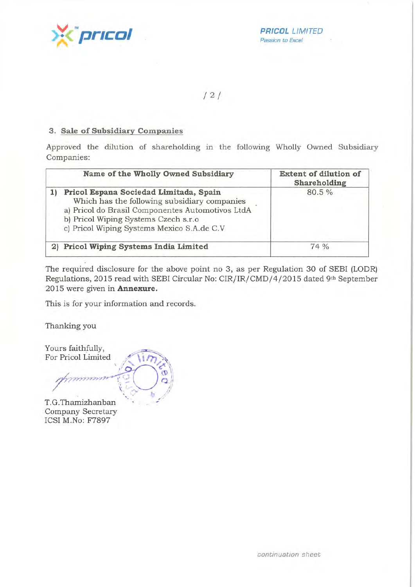**PRICOL** LIMITED<br>Passion to Excel Passion to Excel

/ 2 /

## **3. Sale of Subsidiary Companies**

Approved the dilution of shareholding in the following Wholly Owned Subsidiary Companies:

| Name of the Wholly Owned Subsidiary                                                                                                                                                                                              | <b>Extent of dilution of</b><br>Shareholding |
|----------------------------------------------------------------------------------------------------------------------------------------------------------------------------------------------------------------------------------|----------------------------------------------|
| Pricol Espana Sociedad Limitada, Spain<br>Which has the following subsidiary companies<br>a) Pricol do Brasil Componentes Automotivos LtdA<br>b) Pricol Wiping Systems Czech s.r.o<br>c) Pricol Wiping Systems Mexico S.A.de C.V | 80.5%                                        |
| 2) Pricol Wiping Systems India Limited                                                                                                                                                                                           | 74%                                          |

The required disclosure for the above point no 3, as per Regulation 30 of SEBI (LODR) Regulations, 2015 read with SEBI Circular No: CIR/IR/CMD/4/2015 dated 9th September 2015 were given in **Annexure.** 

This is for your information and records.

Thanking you

Yours faithfully, For Pricol Limited T.G.Thamizhanban

Company Secretary ICSI M.No: F7897

*continuation sheet*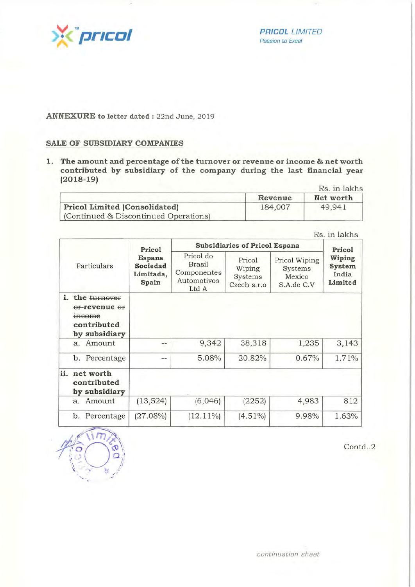

**PRICOL** LIMITED<br>Passion to Excel *Passion to Excel* 

#### **ANNEXURE to letter dated** : 22nd June, 2019

## **SALE OF SUBSIDIARY COMPANIES**

,\_ ~ ,,.,,

 $~/$  :

**1. The amount and percentage of the turnover or revenue or income & net worth contributed by subsidiary of the company during the last financial year (2018-19)** 

|                                       | Rs. in lakhs |           |  |
|---------------------------------------|--------------|-----------|--|
|                                       | Revenue      | Net worth |  |
| <b>Pricol Limited (Consolidated)</b>  | 184,007      | 49,941    |  |
| (Continued & Discontinued Operations) |              |           |  |

|             | Pricol                                                                 |                                                                   | <b>Subsidiaries of Pricol Espana</b>       |                                                  |                                                |       |
|-------------|------------------------------------------------------------------------|-------------------------------------------------------------------|--------------------------------------------|--------------------------------------------------|------------------------------------------------|-------|
| Particulars | <b>Espana</b><br>Sociedad<br>Limitada,<br>Spain                        | Pricol do<br><b>Brasil</b><br>Componentes<br>Automotivos<br>Ltd A | Pricol<br>Wiping<br>Systems<br>Czech s.r.o | Pricol Wiping<br>Systems<br>Mexico<br>S.A.de C.V | Pricol<br>Wiping<br>System<br>India<br>Limited |       |
| i.          | the turnover<br>Of-revenue Of<br>meome<br>contributed<br>by subsidiary |                                                                   |                                            |                                                  |                                                |       |
|             | a. Amount                                                              | $\rightarrow$                                                     | 9,342                                      | 38,318                                           | 1,235                                          | 3,143 |
|             | b. Percentage                                                          | $- -$                                                             | 5.08%                                      | 20.82%                                           | 0.67%                                          | 1.71% |
|             |                                                                        |                                                                   |                                            |                                                  |                                                |       |
|             | ii. net worth<br>contributed<br>by subsidiary                          |                                                                   |                                            |                                                  |                                                |       |
|             | a. Amount                                                              | (13, 524)                                                         | (6,046)                                    | (2252)                                           | 4,983                                          | 812   |

Contd..2